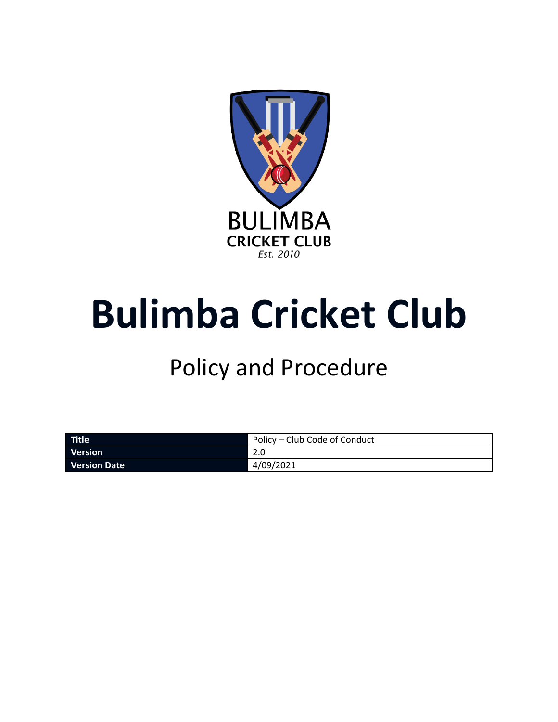

# **Bulimba Cricket Club**

# Policy and Procedure

| Title               | Policy – Club Code of Conduct |
|---------------------|-------------------------------|
| <b>Version</b>      |                               |
| <b>Version Date</b> | 4/09/2021                     |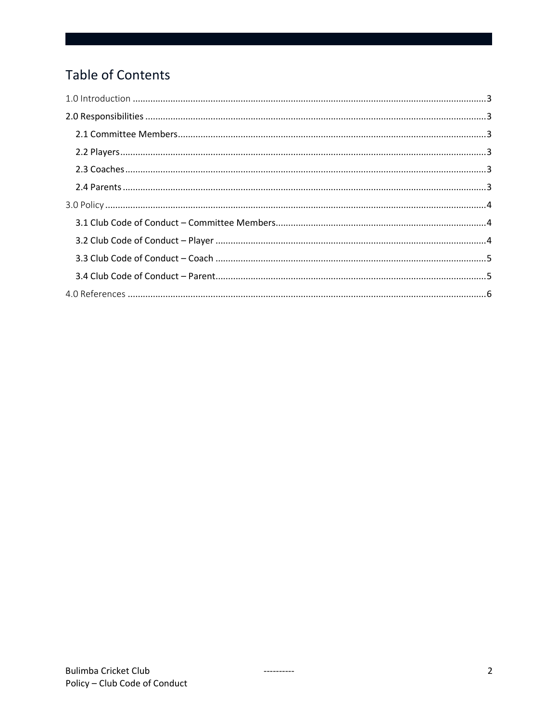# Table of Contents

----------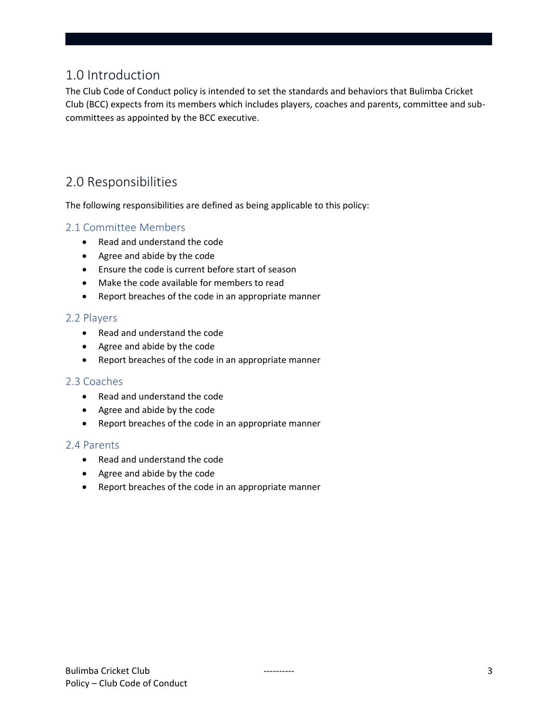# <span id="page-2-0"></span>1.0 Introduction

The Club Code of Conduct policy is intended to set the standards and behaviors that Bulimba Cricket Club (BCC) expects from its members which includes players, coaches and parents, committee and subcommittees as appointed by the BCC executive.

# <span id="page-2-1"></span>2.0 Responsibilities

The following responsibilities are defined as being applicable to this policy:

#### <span id="page-2-2"></span>2.1 Committee Members

- Read and understand the code
- Agree and abide by the code
- Ensure the code is current before start of season
- Make the code available for members to read
- Report breaches of the code in an appropriate manner

#### <span id="page-2-3"></span>2.2 Players

- Read and understand the code
- Agree and abide by the code
- Report breaches of the code in an appropriate manner

#### <span id="page-2-4"></span>2.3 Coaches

- Read and understand the code
- Agree and abide by the code
- Report breaches of the code in an appropriate manner

#### <span id="page-2-5"></span>2.4 Parents

- Read and understand the code
- Agree and abide by the code
- Report breaches of the code in an appropriate manner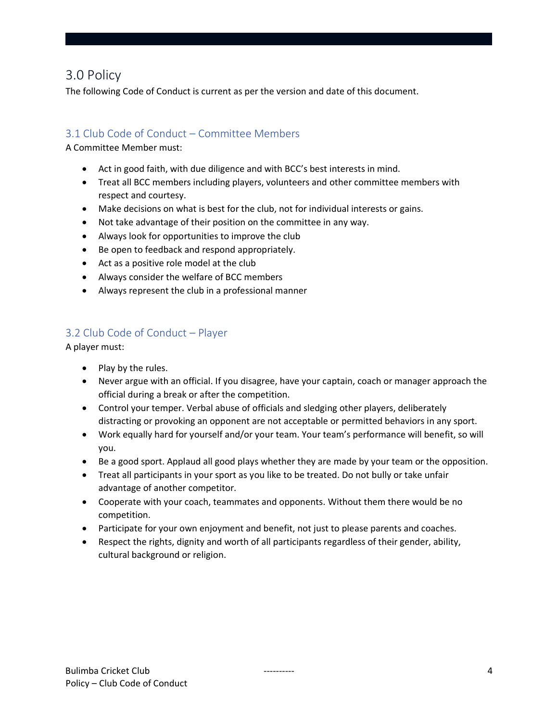### <span id="page-3-0"></span>3.0 Policy

The following Code of Conduct is current as per the version and date of this document.

#### <span id="page-3-1"></span>3.1 Club Code of Conduct – Committee Members

A Committee Member must:

- Act in good faith, with due diligence and with BCC's best interests in mind.
- Treat all BCC members including players, volunteers and other committee members with respect and courtesy.
- Make decisions on what is best for the club, not for individual interests or gains.
- Not take advantage of their position on the committee in any way.
- Always look for opportunities to improve the club
- Be open to feedback and respond appropriately.
- Act as a positive role model at the club
- Always consider the welfare of BCC members
- Always represent the club in a professional manner

#### <span id="page-3-2"></span>3.2 Club Code of Conduct – Player

A player must:

- Play by the rules.
- Never argue with an official. If you disagree, have your captain, coach or manager approach the official during a break or after the competition.
- Control your temper. Verbal abuse of officials and sledging other players, deliberately distracting or provoking an opponent are not acceptable or permitted behaviors in any sport.
- Work equally hard for yourself and/or your team. Your team's performance will benefit, so will you.
- Be a good sport. Applaud all good plays whether they are made by your team or the opposition.
- Treat all participants in your sport as you like to be treated. Do not bully or take unfair advantage of another competitor.
- Cooperate with your coach, teammates and opponents. Without them there would be no competition.
- Participate for your own enjoyment and benefit, not just to please parents and coaches.
- Respect the rights, dignity and worth of all participants regardless of their gender, ability, cultural background or religion.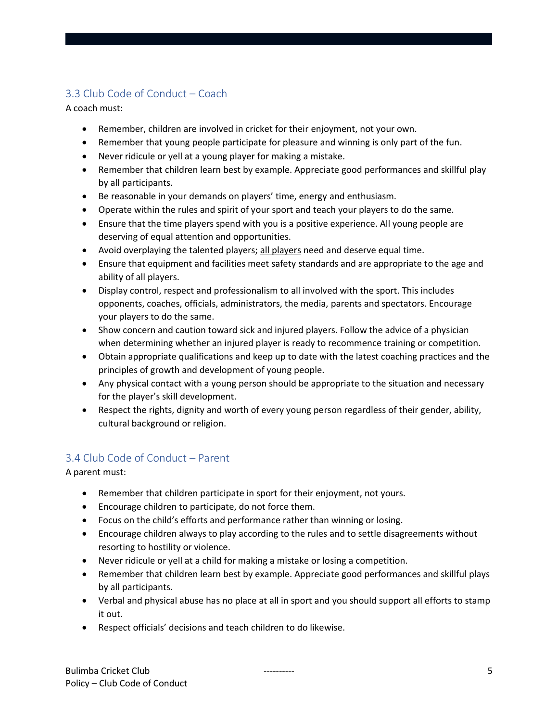#### <span id="page-4-0"></span>3.3 Club Code of Conduct – Coach

A coach must:

- Remember, children are involved in cricket for their enjoyment, not your own.
- Remember that young people participate for pleasure and winning is only part of the fun.
- Never ridicule or yell at a young player for making a mistake.
- Remember that children learn best by example. Appreciate good performances and skillful play by all participants.
- Be reasonable in your demands on players' time, energy and enthusiasm.
- Operate within the rules and spirit of your sport and teach your players to do the same.
- Ensure that the time players spend with you is a positive experience. All young people are deserving of equal attention and opportunities.
- Avoid overplaying the talented players; all players need and deserve equal time.
- Ensure that equipment and facilities meet safety standards and are appropriate to the age and ability of all players.
- Display control, respect and professionalism to all involved with the sport. This includes opponents, coaches, officials, administrators, the media, parents and spectators. Encourage your players to do the same.
- Show concern and caution toward sick and injured players. Follow the advice of a physician when determining whether an injured player is ready to recommence training or competition.
- Obtain appropriate qualifications and keep up to date with the latest coaching practices and the principles of growth and development of young people.
- Any physical contact with a young person should be appropriate to the situation and necessary for the player's skill development.
- Respect the rights, dignity and worth of every young person regardless of their gender, ability, cultural background or religion.

#### <span id="page-4-1"></span>3.4 Club Code of Conduct – Parent

A parent must:

- Remember that children participate in sport for their enjoyment, not yours.
- Encourage children to participate, do not force them.
- Focus on the child's efforts and performance rather than winning or losing.
- Encourage children always to play according to the rules and to settle disagreements without resorting to hostility or violence.
- Never ridicule or yell at a child for making a mistake or losing a competition.
- Remember that children learn best by example. Appreciate good performances and skillful plays by all participants.
- Verbal and physical abuse has no place at all in sport and you should support all efforts to stamp it out.
- Respect officials' decisions and teach children to do likewise.